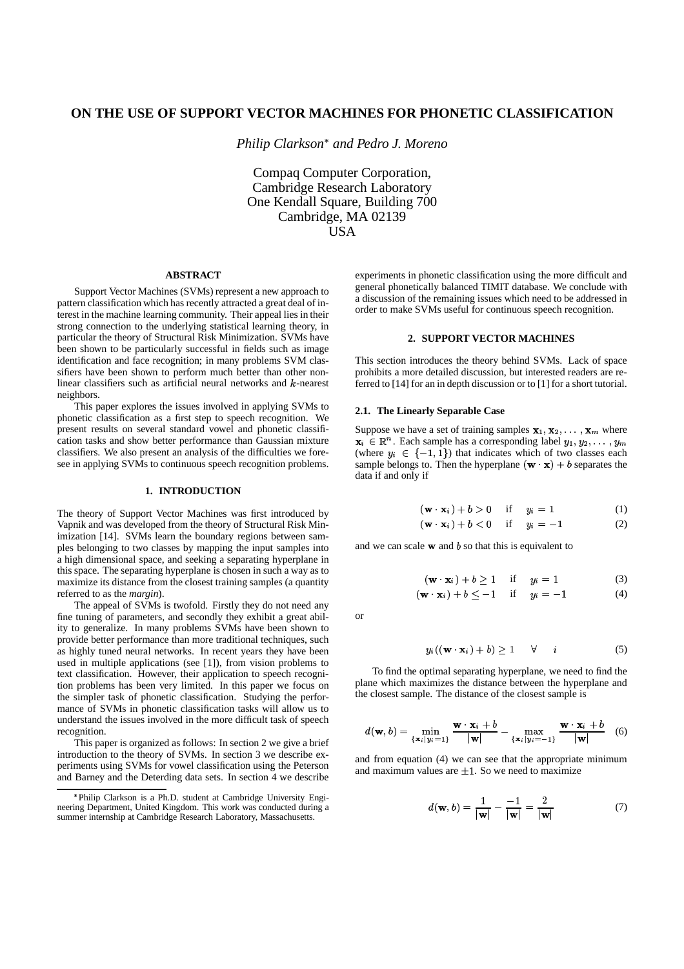# **ON THE USE OF SUPPORT VECTOR MACHINES FOR PHONETIC CLASSIFICATION**

*Philip Clarkson and Pedro J. Moreno*

Compaq Computer Corporation, Cambridge Research Laboratory One Kendall Square, Building 700 Cambridge, MA 02139 **USA** 

## **ABSTRACT**

Support Vector Machines (SVMs) represent a new approach to pattern classification which has recently attracted a great deal of interest in the machine learning community. Their appeal lies in their strong connection to the underlying statistical learning theory, in particular the theory of Structural Risk Minimization. SVMs have been shown to be particularly successful in fields such as image identification and face recognition; in many problems SVM classifiers have been shown to perform much better than other nonlinear classifiers such as artificial neural networks and  $k$ -nearest neighbors.

This paper explores the issues involved in applying SVMs to phonetic classification as a first step to speech recognition. We present results on several standard vowel and phonetic classification tasks and show better performance than Gaussian mixture classifiers. We also present an analysis of the difficulties we foresee in applying SVMs to continuous speech recognition problems.

# **1. INTRODUCTION**

The theory of Support Vector Machines was first introduced by Vapnik and was developed from the theory of Structural Risk Minimization [14]. SVMs learn the boundary regions between samples belonging to two classes by mapping the input samples into a high dimensional space, and seeking a separating hyperplane in this space. The separating hyperplane is chosen in such a way as to maximize its distance from the closest training samples (a quantity referred to as the *margin*).

The appeal of SVMs is twofold. Firstly they do not need any fine tuning of parameters, and secondly they exhibit a great ability to generalize. In many problems SVMs have been shown to provide better performance than more traditional techniques, such as highly tuned neural networks. In recent years they have been used in multiple applications (see [1]), from vision problems to text classification. However, their application to speech recognition problems has been very limited. In this paper we focus on the simpler task of phonetic classification. Studying the performance of SVMs in phonetic classification tasks will allow us to understand the issues involved in the more difficult task of speech recognition.

This paper is organized as follows: In section 2 we give a brief introduction to the theory of SVMs. In section 3 we describe experiments using SVMs for vowel classification using the Peterson and Barney and the Deterding data sets. In section 4 we describe experiments in phonetic classification using the more difficult and general phonetically balanced TIMIT database. We conclude with a discussion of the remaining issues which need to be addressed in order to make SVMs useful for continuous speech recognition.

# **2. SUPPORT VECTOR MACHINES**

This section introduces the theory behind SVMs. Lack of space prohibits a more detailed discussion, but interested readers are referred to [14] for an in depth discussion or to [1] for a short tutorial.

# **2.1. The Linearly Separable Case**

Suppose we have a set of training samples  $x_1, x_2, \ldots, x_m$  where  $\mathbf{x}_i \in \mathbb{R}^n$ . Each sample has a corresponding label  $y_1, y_2, \ldots, y_m$ (where  $y_i \in \{-1, 1\}$ ) that indicates which of two classes each sample belongs to. Then the hyperplane  $(\mathbf{w} \cdot \mathbf{x}) + b$  separates the data if and only if

$$
(\mathbf{w} \cdot \mathbf{x}_i) + b > 0 \quad \text{if} \quad y_i = 1 \tag{1}
$$

$$
(\mathbf{w} \cdot \mathbf{x}_i) + b < 0 \quad \text{if} \quad y_i = -1 \tag{2}
$$

and we can scale  $\bf{w}$  and  $\bf{b}$  so that this is equivalent to

$$
(\mathbf{w} \cdot \mathbf{x}_i) + b \ge 1 \quad \text{if} \quad y_i = 1 \tag{3}
$$

$$
(\mathbf{w} \cdot \mathbf{x}_i) + b \le -1 \quad \text{if} \quad y_i = -1 \tag{4}
$$

or

$$
y_i((\mathbf{w} \cdot \mathbf{x}_i) + b) \ge 1 \qquad \forall \qquad i \tag{5}
$$

To find the optimal separating hyperplane, we need to find the plane which maximizes the distance between the hyperplane and the closest sample. The distance of the closest sample is

$$
d(\mathbf{w},b) = \min_{\{\mathbf{x}_i \mid y_i = 1\}} \frac{\mathbf{w} \cdot \mathbf{x}_i + b}{|\mathbf{w}|} - \max_{\{\mathbf{x}_i \mid y_i = -1\}} \frac{\mathbf{w} \cdot \mathbf{x}_i + b}{|\mathbf{w}|} \quad (6)
$$

and from equation (4) we can see that the appropriate minimum and maximum values are  $\pm 1$ . So we need to maximize

$$
d(\mathbf{w},b) = \frac{1}{|\mathbf{w}|} - \frac{-1}{|\mathbf{w}|} = \frac{2}{|\mathbf{w}|}
$$
(7)

Philip Clarkson is a Ph.D. student at Cambridge University Engineering Department, United Kingdom. This work was conducted during a summer internship at Cambridge Research Laboratory, Massachusetts.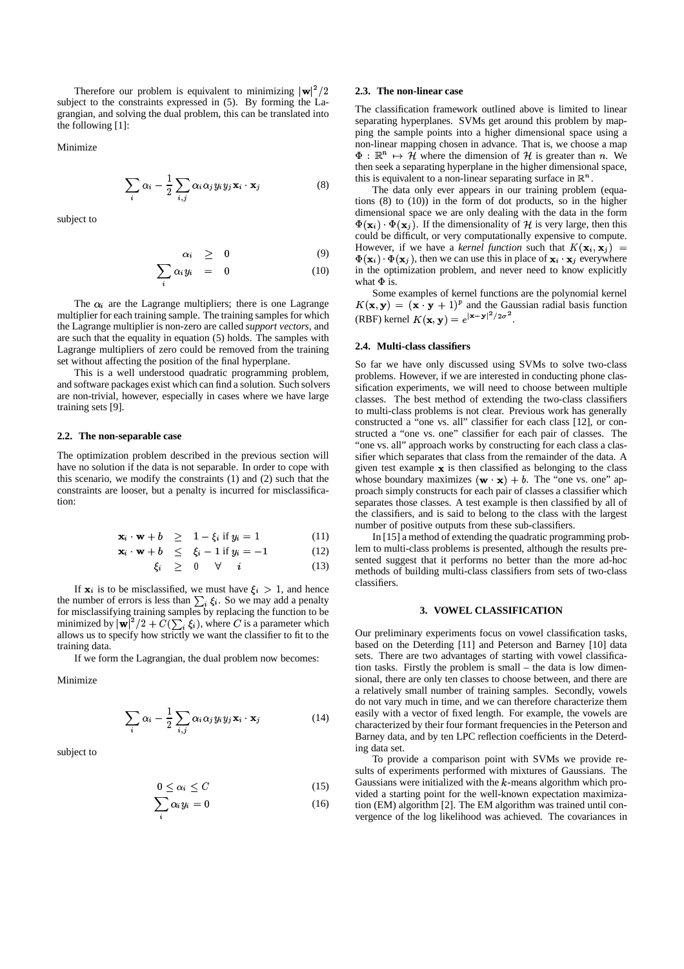Therefore our problem is equivalent to minimizing  $|\mathbf{w}|^2/2$  2.3. T subject to the constraints expressed in (5). By forming the Lagrangian, and solving the dual problem, this can be translated into the following [1]:

Minimize

$$
\sum_{i} \alpha_{i} - \frac{1}{2} \sum_{i,j} \alpha_{i} \alpha_{j} y_{i} y_{j} \mathbf{x}_{i} \cdot \mathbf{x}_{j}
$$
 (8)

subject to

$$
\alpha_i \geq 0 \tag{9}
$$

$$
\sum_{i} \alpha_i y_i = 0 \tag{10}
$$

The  $\alpha_i$  are the Lagrange multipliers; there is one Lagrange multiplier for each training sample. The training samples for which the Lagrange multiplier is non-zero are called *support vectors*, and are such that the equality in equation (5) holds. The samples with Lagrange multipliers of zero could be removed from the training set without affecting the position of the final hyperplane.

This is a well understood quadratic programming problem, and software packages exist which can find a solution. Such solvers are non-trivial, however, especially in cases where we have large training sets [9].

# **2.2. The non-separable case**

The optimization problem described in the previous section will have no solution if the data is not separable. In order to cope with this scenario, we modify the constraints (1) and (2) such that the constraints are looser, but a penalty is incurred for misclassification:

$$
\mathbf{x}_i \cdot \mathbf{w} + b \quad \geq \quad 1 - \xi_i \text{ if } y_i = 1 \tag{11}
$$

$$
\mathbf{x}_{i} \cdot \mathbf{w} + b \quad \leq \quad \xi_{i} - 1 \text{ if } y_{i} = -1 \tag{12}
$$
\n
$$
\xi_{i} \quad \geq \quad 0 \quad \forall \quad i \tag{13}
$$

If  $\mathbf{x}_i$  is to be misclassified, we must have  $\xi_i > 1$ , and hence the number of errors is less than  $\sum_i \xi_i$ . So we may add a penalty for misclassifying training samples by replacing the function to be minimized by  $|\mathbf{w}|^2/2 + C(\sum_i \xi_i)$ , where C is a parameter which allows us to specify how strictly we want the classifier to fit to the training data.

If we form the Lagrangian, the dual problem now becomes:

Minimize

$$
\sum_{i} \alpha_{i} - \frac{1}{2} \sum_{i,j} \alpha_{i} \alpha_{j} y_{i} y_{j} \mathbf{x}_{i} \cdot \mathbf{x}_{j}
$$
(14)

subject to

$$
0 \le \alpha_i \le C \tag{15}
$$

$$
\sum_{i} \alpha_{i} y_{i} = 0 \tag{16}
$$

### **2.3. The non-linear case**

The classification framework outlined above is limited to linear separating hyperplanes. SVMs get around this problem by mapping the sample points into a higher dimensional space using a non-linear mapping chosen in advance. That is, we choose a map  $\Phi : \mathbb{R}^n \mapsto \mathcal{H}$  where the dimension of H is greater than n. We then seek a separating hyperplane in the higher dimensional space, this is equivalent to a non-linear separating surface in  $\mathbb{R}^n$ .

The data only ever appears in our training problem (equations (8) to (10)) in the form of dot products, so in the higher dimensional space we are only dealing with the data in the form  $\Phi(\mathbf{x}_i) \cdot \Phi(\mathbf{x}_j)$ . If the dimensionality of H is very large, then this could be difficult, or very computationally expensive to compute. However, if we have a *kernel function* such that  $K(\mathbf{x}_i, \mathbf{x}_j)$  =  $\Phi(\mathbf{x}_i) \cdot \Phi(\mathbf{x}_j)$ , then we can use this in place of  $\mathbf{x}_i \cdot \mathbf{x}_j$  everywhere in the optimization problem, and never need to know explicitly what  $\Phi$  is.

Some examples of kernel functions are the polynomial kernel  $K(\mathbf{x}, \mathbf{y}) = (\mathbf{x} \cdot \mathbf{y} + 1)^p$  and the Gaussian radial basis function (RBF) kernel  $K(\mathbf{x}, \mathbf{y}) = e^{|\mathbf{x} - \mathbf{y}|^2/2\sigma^2}$ .

### **2.4. Multi-class classifiers**

So far we have only discussed using SVMs to solve two-class problems. However, if we are interested in conducting phone classification experiments, we will need to choose between multiple classes. The best method of extending the two-class classifiers to multi-class problems is not clear. Previous work has generally constructed a "one vs. all" classifier for each class [12], or constructed a "one vs. one" classifier for each pair of classes. The "one vs. all" approach works by constructing for each class a classifier which separates that class from the remainder of the data. A given test example  $\bf{x}$  is then classified as belonging to the class whose boundary maximizes  $(\mathbf{w} \cdot \mathbf{x}) + b$ . The "one vs. one" approach simply constructs for each pair of classes a classifier which separates those classes. A test example is then classified by all of the classifiers, and is said to belong to the class with the largest number of positive outputs from these sub-classifiers.

In [15] a method of extending the quadratic programming problem to multi-class problems is presented, although the results presented suggest that it performs no better than the more ad-hoc methods of building multi-class classifiers from sets of two-class classifiers.

# **3. VOWEL CLASSIFICATION**

Our preliminary experiments focus on vowel classification tasks, based on the Deterding [11] and Peterson and Barney [10] data sets. There are two advantages of starting with vowel classification tasks. Firstly the problem is small – the data is low dimensional, there are only ten classes to choose between, and there are a relatively small number of training samples. Secondly, vowels do not vary much in time, and we can therefore characterize them easily with a vector of fixed length. For example, the vowels are characterized by their four formant frequencies in the Peterson and Barney data, and by ten LPC reflection coefficients in the Deterding data set.

To provide a comparison point with SVMs we provide results of experiments performed with mixtures of Gaussians. The Gaussians were initialized with the  $k$ -means algorithm which provided a starting point for the well-known expectation maximization (EM) algorithm [2]. The EM algorithm was trained until convergence of the log likelihood was achieved. The covariances in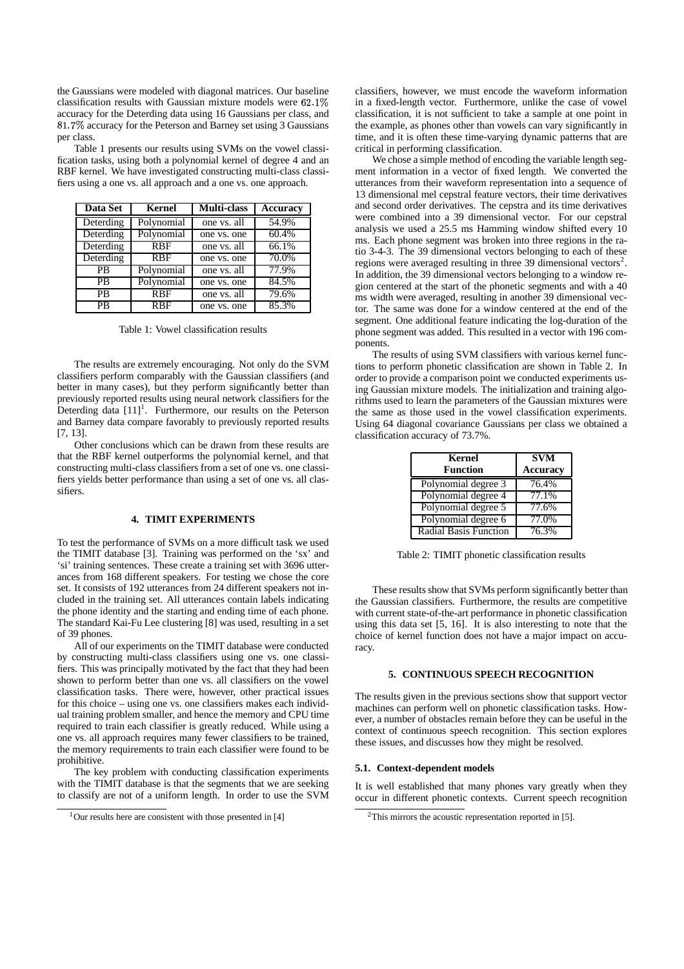the Gaussians were modeled with diagonal matrices. Our baseline classification results with Gaussian mixture models were 62.1% accuracy for the Deterding data using 16 Gaussians per class, and 81.7% accuracy for the Peterson and Barney set using 3 Gaussians per class.

Table 1 presents our results using SVMs on the vowel classification tasks, using both a polynomial kernel of degree 4 and an RBF kernel. We have investigated constructing multi-class classifiers using a one vs. all approach and a one vs. one approach.

| Data Set  | <b>Kernel</b> | Multi-class | <b>Accuracy</b> |
|-----------|---------------|-------------|-----------------|
| Deterding | Polynomial    | one vs. all | 54.9%           |
| Deterding | Polynomial    | one vs. one | 60.4%           |
| Deterding | <b>RBF</b>    | one vs. all | 66.1%           |
| Deterding | <b>RBF</b>    | one vs. one | 70.0%           |
| PB        | Polynomial    | one vs. all | 77.9%           |
| <b>PR</b> | Polynomial    | one vs. one | 84.5%           |
| PR        | <b>RBF</b>    | one vs. all | 79.6%           |
| PR        | <b>RBF</b>    | one vs. one | 85.3%           |

Table 1: Vowel classification results

The results are extremely encouraging. Not only do the SVM classifiers perform comparably with the Gaussian classifiers (and better in many cases), but they perform significantly better than previously reported results using neural network classifiers for the Deterding data  $[11]$ <sup>1</sup>. Furthermore, our results on the Peterson and Barney data compare favorably to previously reported results [7, 13].

Other conclusions which can be drawn from these results are that the RBF kernel outperforms the polynomial kernel, and that constructing multi-class classifiers from a set of one vs. one classifiers yields better performance than using a set of one vs. all classifiers.

#### **4. TIMIT EXPERIMENTS**

To test the performance of SVMs on a more difficult task we used the TIMIT database [3]. Training was performed on the 'sx' and 'si' training sentences. These create a training set with 3696 utterances from 168 different speakers. For testing we chose the core set. It consists of 192 utterances from 24 different speakers not included in the training set. All utterances contain labels indicating the phone identity and the starting and ending time of each phone. The standard Kai-Fu Lee clustering [8] was used, resulting in a set of 39 phones.

All of our experiments on the TIMIT database were conducted by constructing multi-class classifiers using one vs. one classifiers. This was principally motivated by the fact that they had been shown to perform better than one vs. all classifiers on the vowel classification tasks. There were, however, other practical issues for this choice – using one vs. one classifiers makes each individual training problem smaller, and hence the memory and CPU time required to train each classifier is greatly reduced. While using a one vs. all approach requires many fewer classifiers to be trained, the memory requirements to train each classifier were found to be prohibitive.

The key problem with conducting classification experiments with the TIMIT database is that the segments that we are seeking to classify are not of a uniform length. In order to use the SVM

 in a fixed-length vector. Furthermore, unlike the case of vowel classifiers, however, we must encode the waveform information classification, it is not sufficient to take a sample at one point in the example, as phones other than vowels can vary significantly in time, and it is often these time-varying dynamic patterns that are critical in performing classification.

> We chose a simple method of encoding the variable length segment information in a vector of fixed length. We converted the utterances from their waveform representation into a sequence of 13 dimensional mel cepstral feature vectors, their time derivatives and second order derivatives. The cepstra and its time derivatives were combined into a 39 dimensional vector. For our cepstral analysis we used a 25.5 ms Hamming window shifted every 10 ms. Each phone segment was broken into three regions in the ratio 3-4-3. The 39 dimensional vectors belonging to each of these regions were averaged resulting in three 39 dimensional vectors<sup>2</sup>. In addition, the 39 dimensional vectors belonging to a window region centered at the start of the phonetic segments and with a 40 ms width were averaged, resulting in another 39 dimensional vector. The same was done for a window centered at the end of the segment. One additional feature indicating the log-duration of the phone segment was added. This resulted in a vector with 196 components.

> The results of using SVM classifiers with various kernel functions to perform phonetic classification are shown in Table 2. In order to provide a comparison point we conducted experiments using Gaussian mixture models. The initialization and training algorithms used to learn the parameters of the Gaussian mixtures were the same as those used in the vowel classification experiments. Using 64 diagonal covariance Gaussians per class we obtained a classification accuracy of 73.7%.

| Kernel<br><b>Function</b> | <b>SVM</b><br><b>Accuracy</b> |
|---------------------------|-------------------------------|
| Polynomial degree 3       | 76.4%                         |
| Polynomial degree 4       | 77.1%                         |
| Polynomial degree 5       | 77.6%                         |
| Polynomial degree 6       | 77.0%                         |
| Radial Basis Function     | $76.3\%$                      |

Table 2: TIMIT phonetic classification results

These results show that SVMs perform significantly better than the Gaussian classifiers. Furthermore, the results are competitive with current state-of-the-art performance in phonetic classification using this data set [5, 16]. It is also interesting to note that the choice of kernel function does not have a major impact on accuracy.

### **5. CONTINUOUS SPEECH RECOGNITION**

The results given in the previous sections show that support vector machines can perform well on phonetic classification tasks. However, a number of obstacles remain before they can be useful in the context of continuous speech recognition. This section explores these issues, and discusses how they might be resolved.

#### **5.1. Context-dependent models**

It is well established that many phones vary greatly when they occur in different phonetic contexts. Current speech recognition

 $1$ Our results here are consistent with those presented in [4]

 $2$ This mirrors the acoustic representation reported in [5].